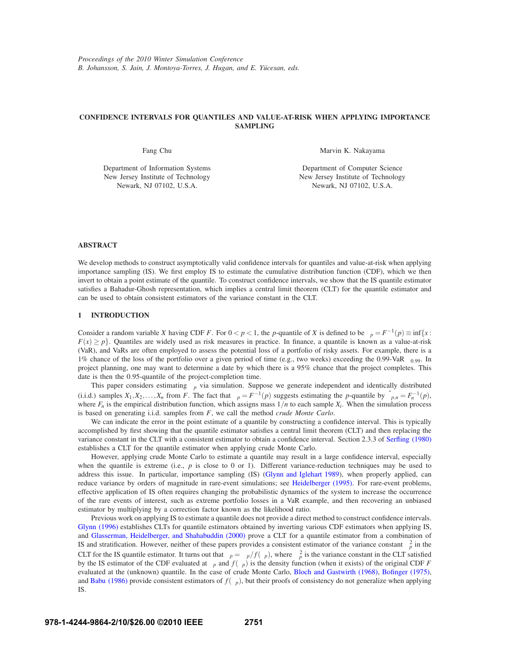# **CONFIDENCE INTERVALS FOR QUANTILES AND VALUE-AT-RISK WHEN APPLYING IMPORTANCE SAMPLING**

Fang Chu

Marvin K. Nakayama

Department of Information Systems New Jersey Institute of Technology Newark, NJ 07102, U.S.A.

Department of Computer Science New Jersey Institute of Technology Newark, NJ 07102, U.S.A.

# **ABSTRACT**

We develop methods to construct asymptotically valid confidence intervals for quantiles and value-at-risk when applying importance sampling (IS). We first employ IS to estimate the cumulative distribution function (CDF), which we then invert to obtain a point estimate of the quantile. To construct confidence intervals, we show that the IS quantile estimator satisfies a Bahadur-Ghosh representation, which implies a central limit theorem (CLT) for the quantile estimator and can be used to obtain consistent estimators of the variance constant in the CLT.

# **1 INTRODUCTION**

Consider a random variable *X* having CDF *F*. For  $0 < p < 1$ , the *p*-quantile of *X* is defined to be  $\xi_p = F^{-1}(p) \equiv \inf\{x : p \in \mathbb{R}^n : p \neq 0\}$  $F(x) \ge p$ . Quantiles are widely used as risk measures in practice. In finance, a quantile is known as a value-at-risk (VaR), and VaRs are often employed to assess the potential loss of a portfolio of risky assets. For example, there is a 1% chance of the loss of the portfolio over a given period of time (e.g., two weeks) exceeding the 0.99-VaR  $\xi_{0.99}$ . In project planning, one may want to determine a date by which there is a 95% chance that the project completes. This date is then the 0.95-quantile of the project-completion time.

This paper considers estimating  $\xi_p$  via simulation. Suppose we generate independent and identically distributed (i.i.d.) samples  $X_1, X_2, \ldots, X_n$  from *F*. The fact that  $\xi_p = F^{-1}(p)$  suggests estimating the *p*-quantile by  $\hat{\xi}_{p,n} = F_n^{-1}(p)$ , where  $F_n$  is the empirical distribution function, which assigns mass  $1/n$  to each sample  $X_i$ . When the simulation process is based on generating i.i.d. samples from *F*, we call the method *crude Monte Carlo*.

We can indicate the error in the point estimate of a quantile by constructing a confidence interval. This is typically accomplished by first showing that the quantile estimator satisfies a central limit theorem (CLT) and then replacing the variance constant in the CLT with a consistent estimator to obtain a confidence interval. Section 2.3.3 of Serfling (1980) establishes a CLT for the quantile estimator when applying crude Monte Carlo.

However, applying crude Monte Carlo to estimate a quantile may result in a large confidence interval, especially when the quantile is extreme (i.e.,  $p$  is close to 0 or 1). Different variance-reduction techniques may be used to address this issue. In particular, importance sampling (IS) (Glynn and Iglehart 1989), when properly applied, can reduce variance by orders of magnitude in rare-event simulations; see Heidelberger (1995). For rare-event problems, effective application of IS often requires changing the probabilistic dynamics of the system to increase the occurrence of the rare events of interest, such as extreme portfolio losses in a VaR example, and then recovering an unbiased estimator by multiplying by a correction factor known as the likelihood ratio.

Previous work on applying IS to estimate a quantile does not provide a direct method to construct confidence intervals. Glynn (1996) establishes CLTs for quantile estimators obtained by inverting various CDF estimators when applying IS, and Glasserman, Heidelberger, and Shahabuddin (2000) prove a CLT for a quantile estimator from a combination of IS and stratification. However, neither of these papers provides a consistent estimator of the variance constant  $\kappa_p^2$  in the CLT for the IS quantile estimator. It turns out that  $\kappa_p = \psi_p/f(\xi_p)$ , where  $\psi_p^2$  is the variance constant in the CLT satisfied by the IS estimator of the CDF evaluated at  $\xi_p$  and  $f(\xi_p)$  is the density function (when it exists) of the original CDF *F* evaluated at the (unknown) quantile. In the case of crude Monte Carlo, Bloch and Gastwirth (1968), Bofinger (1975), and Babu (1986) provide consistent estimators of  $f(\xi_p)$ , but their proofs of consistency do not generalize when applying IS.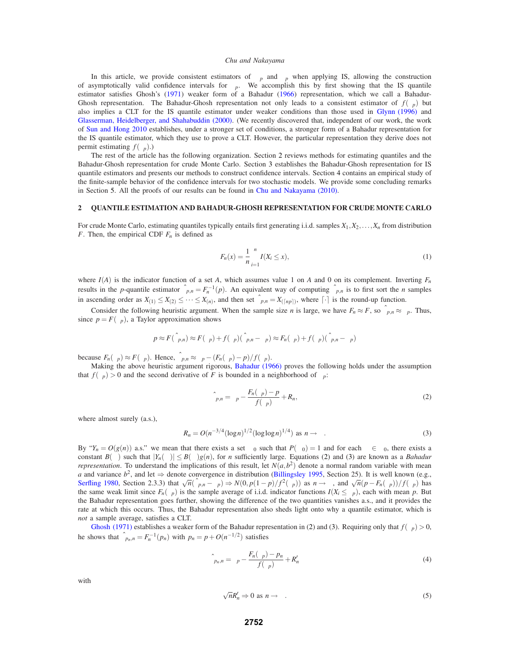In this article, we provide consistent estimators of  $\psi_p$  and  $\phi_p$  when applying IS, allowing the construction of asymptotically valid confidence intervals for  $\xi_p$ . We accomplish this by first showing that the IS quantile estimator satisfies Ghosh's (1971) weaker form of a Bahadur (1966) representation, which we call a Bahadur-Ghosh representation. The Bahadur-Ghosh representation not only leads to a consistent estimator of  $f(\xi_p)$  but also implies a CLT for the IS quantile estimator under weaker conditions than those used in Glynn (1996) and Glasserman, Heidelberger, and Shahabuddin (2000). (We recently discovered that, independent of our work, the work of Sun and Hong 2010 establishes, under a stronger set of conditions, a stronger form of a Bahadur representation for the IS quantile estimator, which they use to prove a CLT. However, the particular representation they derive does not permit estimating  $f(\xi_p)$ .)

The rest of the article has the following organization. Section 2 reviews methods for estimating quantiles and the Bahadur-Ghosh representation for crude Monte Carlo. Section 3 establishes the Bahadur-Ghosh representation for IS quantile estimators and presents our methods to construct confidence intervals. Section 4 contains an empirical study of the finite-sample behavior of the confidence intervals for two stochastic models. We provide some concluding remarks in Section 5. All the proofs of our results can be found in Chu and Nakayama (2010).

## **2 QUANTILE ESTIMATION AND BAHADUR-GHOSH REPRESENTATION FOR CRUDE MONTE CARLO**

For crude Monte Carlo, estimating quantiles typically entails first generating i.i.d. samples *X*1,*X*2,...,*Xn* from distribution *F*. Then, the empirical CDF  $F_n$  is defined as

$$
F_n(x) = \frac{1}{n} \sum_{i=1}^n I(X_i \le x),
$$
\n(1)

where  $I(A)$  is the indicator function of a set A, which assumes value 1 on A and 0 on its complement. Inverting  $F_n$ results in the *p*-quantile estimator  $\hat{\xi}_{p,n} = F_n^{-1}(p)$ . An equivalent way of computing  $\hat{\xi}_{p,n}$  is to first sort the *n* samples in ascending order as  $X_{(1)} \leq X_{(2)} \leq \cdots \leq X_{(n)}$ , and then set  $\hat{\xi}_{p,n} = X_{(\lceil np \rceil)}$ , where  $\lceil \cdot \rceil$  is the round-up function.

Consider the following heuristic argument. When the sample size *n* is large, we have  $F_n \approx F$ , so  $\hat{\xi}_{p,n} \approx \xi_p$ . Thus, since  $p = F(\xi_p)$ , a Taylor approximation shows

$$
p \approx F(\hat{\xi}_{p,n}) \approx F(\xi_p) + f(\xi_p)(\hat{\xi}_{p,n} - \xi_p) \approx F_n(\xi_p) + f(\xi_p)(\hat{\xi}_{p,n} - \xi_p)
$$

because  $F_n(\xi_p) \approx F(\xi_p)$ . Hence,  $\xi_{p,n} \approx \xi_p - (F_n(\xi_p) - p)/f(\xi_p)$ .<br>Making the above heuristic argument rigorous, Bahadur (1966) proves the following holds under the assumption that  $f(\xi_p) > 0$  and the second derivative of *F* is bounded in a neighborhood of  $\xi_p$ :

$$
\hat{\xi}_{p,n} = \xi_p - \frac{F_n(\xi_p) - p}{f(\xi_p)} + R_n,\tag{2}
$$

where almost surely (a.s.),

$$
R_n = O(n^{-3/4} (\log n)^{1/2} (\log \log n)^{1/4}) \text{ as } n \to \infty.
$$
 (3)

By " $Y_n = O(g(n))$  a.s." we mean that there exists a set  $\Omega_0$  such that  $P(\Omega_0) = 1$  and for each  $\omega \in \Omega_0$ , there exists a constant  $B(\omega)$  such that  $|Y_n(\omega)| \leq B(\omega)g(n)$ , for *n* sufficiently large. Equations (2) and (3) are known as a *Bahadur representation*. To understand the implications of this result, let  $N(a,b^2)$  denote a normal random variable with mean *a* and variance  $b^2$ , and let ⇒ denote convergence in distribution (Billingsley 1995, Section 25). It is well known (e.g., Serfling 1980, Section 2.3.3) that  $\sqrt{n}(\hat{\xi}_{p,n} - \xi_p) \Rightarrow N(0, p(1-p)/f^2(\xi_p))$  as  $n \to \infty$ , and  $\sqrt{n}(p - F_n(\xi_p))/f(\xi_p)$  has the same weak limit since  $F_n(\xi_p)$  is the sample average of i.i.d. indicator functions  $I(X_i \leq \xi_p)$ , each with mean *p*. But the Bahadur representation goes further, showing the difference of the two quantities vanishes a.s., and it provides the rate at which this occurs. Thus, the Bahadur representation also sheds light onto why a quantile estimator, which is *not* a sample average, satisfies a CLT.

Ghosh (1971) establishes a weaker form of the Bahadur representation in (2) and (3). Requiring only that  $f(\xi_p) > 0$ , he shows that  $\hat{\xi}_{p_n,n} = F_n^{-1}(p_n)$  with  $p_n = p + O(n^{-1/2})$  satisfies

$$
\hat{\xi}_{p_n, n} = \xi_p - \frac{F_n(\xi_p) - p_n}{f(\xi_p)} + R'_n \tag{4}
$$

with

$$
\sqrt{n}R'_n \Rightarrow 0 \text{ as } n \to \infty. \tag{5}
$$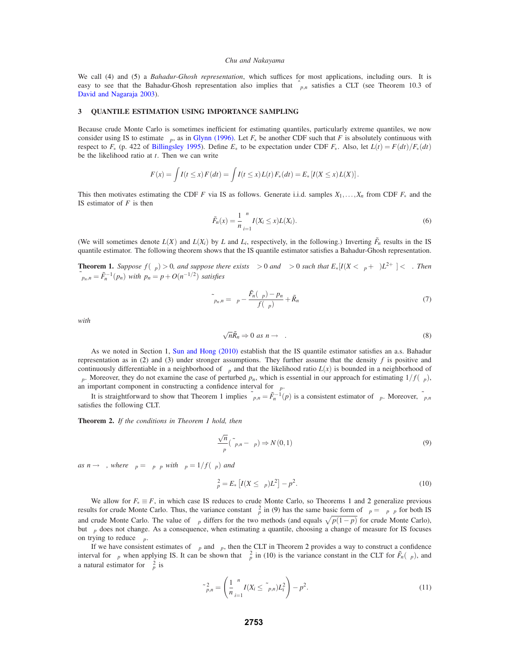We call (4) and (5) a *Bahadur-Ghosh representation*, which suffices for most applications, including ours. It is easy to see that the Bahadur-Ghosh representation also implies that  $\hat{\xi}_{p,n}$  satisfies a CLT (see Theorem 10.3 of David and Nagaraja 2003).

### **3 QUANTILE ESTIMATION USING IMPORTANCE SAMPLING**

Because crude Monte Carlo is sometimes inefficient for estimating quantiles, particularly extreme quantiles, we now consider using IS to estimate  $\xi_p$ , as in Glynn (1996). Let  $F_*$  be another CDF such that *F* is absolutely continuous with respect to  $F_*$  (p. 422 of Billingsley 1995). Define  $E_*$  to be expectation under CDF  $F_*$ . Also, let  $L(t) = F(dt)/F_*(dt)$ be the likelihood ratio at *t*. Then we can write

$$
F(x) = \int I(t \le x) F(dt) = \int I(t \le x) L(t) F_*(dt) = E_* [I(X \le x) L(X)].
$$

This then motivates estimating the CDF *F* via IS as follows. Generate i.i.d. samples  $X_1, \ldots, X_n$  from CDF  $F_*$  and the IS estimator of *F* is then

$$
\tilde{F}_n(x) = \frac{1}{n} \sum_{i=1}^n I(X_i \le x) L(X_i).
$$
\n(6)

(We will sometimes denote  $L(X)$  and  $L(X_i)$  by  $L$  and  $L_i$ , respectively, in the following.) Inverting  $\tilde{F}_n$  results in the IS quantile estimator. The following theorem shows that the IS quantile estimator satisfies a Bahadur-Ghosh representation.

**Theorem 1.** *Suppose*  $f(\xi_p) > 0$ *, and suppose there exists*  $\varepsilon > 0$  *and*  $\delta > 0$  *such that*  $E_*[I(X < \xi_p + \delta)L^{2+\varepsilon}] < \infty$ *. Then*  $\tilde{\xi}_{p_n,n} = \tilde{F}_n^{-1}(p_n)$  with  $p_n = p + O(n^{-1/2})$  satisfies

$$
\tilde{\xi}_{p_n,n} = \xi_p - \frac{\tilde{F}_n(\xi_p) - p_n}{f(\xi_p)} + \tilde{R}_n
$$
\n(7)

*with*

$$
\sqrt{n}\tilde{R}_n \Rightarrow 0 \text{ as } n \to \infty. \tag{8}
$$

As we noted in Section 1, Sun and Hong (2010) establish that the IS quantile estimator satisfies an a.s. Bahadur representation as in (2) and (3) under stronger assumptions. They further assume that the density *f* is positive and continuously differentiable in a neighborhood of  $\xi_p$  and that the likelihood ratio  $L(x)$  is bounded in a neighborhood of ξ*p*. Moreover, they do not examine the case of perturbed *pn*, which is essential in our approach for estimating 1/ *f*(ξ*p*), an important component in constructing a confidence interval for  $\xi_p$ .

It is straightforward to show that Theorem 1 implies  $\tilde{\xi}_{p,n} = \tilde{F}_n^{-1}(p)$  is a consistent estimator of  $\xi_p$ . Moreover,  $\tilde{\xi}_{p,n}$ satisfies the following CLT.

**Theorem 2.** *If the conditions in Theorem 1 hold, then*

$$
\frac{\sqrt{n}}{\kappa_p}(\tilde{\xi}_{p,n} - \xi_p) \Rightarrow N(0,1)
$$
\n(9)

*as*  $n \rightarrow \infty$ *, where*  $\kappa_p = \psi_p \phi_p$  *with*  $\phi_p = 1/f(\xi_p)$  *and* 

$$
\psi_p^2 = E_* \left[ I(X \le \xi_p) L^2 \right] - p^2. \tag{10}
$$

We allow for  $F_* \equiv F$ , in which case IS reduces to crude Monte Carlo, so Theorems 1 and 2 generalize previous results for crude Monte Carlo. Thus, the variance constant  $\kappa_p^2$  in (9) has the same basic form of  $\kappa_p = \psi_p \phi_p$  for both IS and crude Monte Carlo. The value of  $\psi_p$  differs for the two methods (and equals  $\sqrt{p(1-p)}$  for crude Monte Carlo), but  $\phi_p$  does not change. As a consequence, when estimating a quantile, choosing a change of measure for IS focuses on trying to reduce  $\psi_p$ .

If we have consistent estimates of  $\psi_p$  and  $\phi_p$ , then the CLT in Theorem 2 provides a way to construct a confidence interval for  $\xi_p$  when applying IS. It can be shown that  $\psi_p^2$  in (10) is the variance constant in the CLT for  $\tilde{F}_n(\xi_p)$ , and a natural estimator for  $\psi_p^2$  is

$$
\tilde{\psi}_{p,n}^2 = \left(\frac{1}{n}\sum_{i=1}^n I(X_i \le \tilde{\xi}_{p,n}) L_i^2\right) - p^2.
$$
\n(11)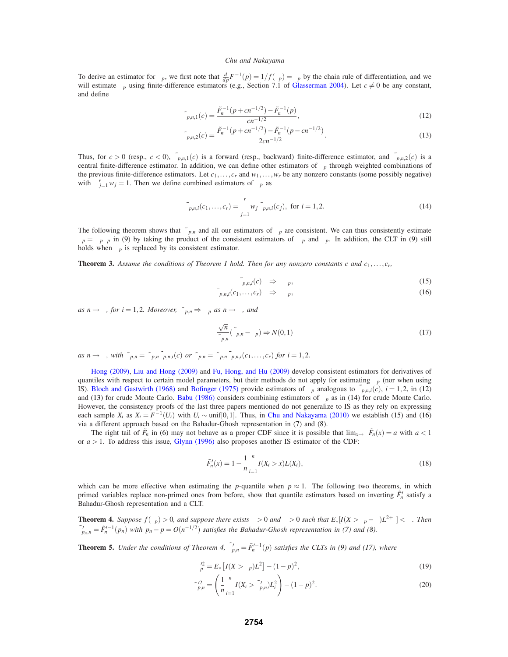To derive an estimator for  $\phi_p$ , we first note that  $\frac{d}{dp}F^{-1}(p) = 1/f(\xi_p) = \phi_p$  by the chain rule of differentiation, and we will estimate  $\phi_p$  using finite-difference estimators (e.g., Section 7.1 of Glasserman 2004). Let  $c \neq 0$  be any constant, and define

$$
\tilde{\phi}_{p,n,1}(c) = \frac{\tilde{F}_n^{-1}(p+cn^{-1/2}) - \tilde{F}_n^{-1}(p)}{cn^{-1/2}},
$$
\n(12)

$$
\tilde{\phi}_{p,n,2}(c) = \frac{\tilde{F}_n^{-1}(p+cn^{-1/2}) - \tilde{F}_n^{-1}(p-cn^{-1/2})}{2cn^{-1/2}}.
$$
\n(13)

Thus, for  $c > 0$  (resp.,  $c < 0$ ),  $\tilde{\phi}_{p,n,1}(c)$  is a forward (resp., backward) finite-difference estimator, and  $\tilde{\phi}_{p,n,2}(c)$  is a central finite-difference estimator. In addition, we can define other estimators of  $\phi_p$  through weighted combinations of the previous finite-difference estimators. Let  $c_1, \ldots, c_r$  and  $w_1, \ldots, w_r$  be any nonzero constants (some possibly negative) with  $\sum_{j=1}^{r} w_j = 1$ . Then we define combined estimators of  $\phi_p$  as

$$
\bar{\phi}_{p,n,i}(c_1,\ldots,c_r) = \sum_{j=1}^r w_j \,\tilde{\phi}_{p,n,i}(c_j), \text{ for } i = 1,2. \tag{14}
$$

The following theorem shows that  $\tilde{\psi}_{p,n}$  and all our estimators of  $\phi_p$  are consistent. We can thus consistently estimate  $\kappa_p = \psi_p \phi_p$  in (9) by taking the product of the consistent estimators of  $\psi_p$  and  $\phi_p$ . In addition, the CLT in (9) still holds when  $\kappa_p$  is replaced by its consistent estimator.

**Theorem 3.** *Assume the conditions of Theorem 1 hold. Then for any nonzero constants c and c*1,...,*cr,*

$$
\tilde{\phi}_{p,n,i}(c) \quad \Rightarrow \quad \phi_p,\tag{15}
$$

$$
\bar{\phi}_{p,n,i}(c_1,\ldots,c_r) \quad \Rightarrow \quad \phi_p,\tag{16}
$$

*as*  $n \rightarrow \infty$ *, for i* = 1,2*. Moreover,*  $\tilde{\psi}_{p,n} \Rightarrow \psi_p$  *as*  $n \rightarrow \infty$ *, and* 

$$
\frac{\sqrt{n}}{\tilde{\kappa}_{p,n}}(\tilde{\xi}_{p,n}-\xi_p)\Rightarrow N(0,1)
$$
\n(17)

as  $n \to \infty$ , with  $\tilde{\kappa}_{p,n} = \tilde{\psi}_{p,n} \tilde{\phi}_{p,n,i}(c)$  or  $\tilde{\kappa}_{p,n} = \tilde{\psi}_{p,n} \bar{\phi}_{p,n,i}(c_1,\ldots,c_r)$  for  $i = 1,2$ .

Hong (2009), Liu and Hong (2009) and Fu, Hong, and Hu (2009) develop consistent estimators for derivatives of quantiles with respect to certain model parameters, but their methods do not apply for estimating φ*<sup>p</sup>* (nor when using IS). Bloch and Gastwirth (1968) and Bofinger (1975) provide estimators of  $\phi_p$  analogous to  $\tilde{\phi}_{p,n,i}(c)$ ,  $i = 1,2$ , in (12) and (13) for crude Monte Carlo. Babu (1986) considers combining estimators of  $\phi_p$  as in (14) for crude Monte Carlo. However, the consistency proofs of the last three papers mentioned do not generalize to IS as they rely on expressing each sample  $X_i$  as  $X_i = F^{-1}(U_i)$  with  $U_i \sim \text{unif}[0,1]$ . Thus, in Chu and Nakayama (2010) we establish (15) and (16) via a different approach based on the Bahadur-Ghosh representation in (7) and (8).

The right tail of  $\tilde{F}_n$  in (6) may not behave as a proper CDF since it is possible that  $\lim_{x\to\infty} \tilde{F}_n(x) = a$  with  $a < 1$ or *a* > 1. To address this issue, Glynn (1996) also proposes another IS estimator of the CDF:

$$
\tilde{F}'_n(x) = 1 - \frac{1}{n} \sum_{i=1}^n I(X_i > x) L(X_i),\tag{18}
$$

which can be more effective when estimating the *p*-quantile when  $p \approx 1$ . The following two theorems, in which primed variables replace non-primed ones from before, show that quantile estimators based on inverting  $\tilde{F}'_n$  satisfy a Bahadur-Ghosh representation and a CLT.

**Theorem 4.** *Suppose*  $f(\xi_p) > 0$ *, and suppose there exists*  $\varepsilon > 0$  *and*  $\delta > 0$  *such that*  $E_*[I(X > \xi_p - \delta)L^{2+\varepsilon}] < \infty$ *. Then*  $\tilde{\xi}'_{p_n,n} = \tilde{F}'_n{}^{-1}(p_n)$  with  $p_n - p = O(n^{-1/2})$  satisfies the Bahadur-Ghosh representation in (7) and (8).

**Theorem 5.** *Under the conditions of Theorem 4,*  $\tilde{\xi}'_{p,n} = \tilde{F}'^{-1}_n(p)$  *satisfies the CLTs in (9) and (17), where* 

$$
\psi_p^2 = E_* \left[ I(X > \xi_p) L^2 \right] - (1 - p)^2,\tag{19}
$$

$$
\tilde{\psi}_{p,n}^{\prime 2} = \left(\frac{1}{n}\sum_{i=1}^{n} I(X_i > \tilde{\xi}_{p,n}^{\prime}) L_i^2\right) - (1-p)^2.
$$
\n(20)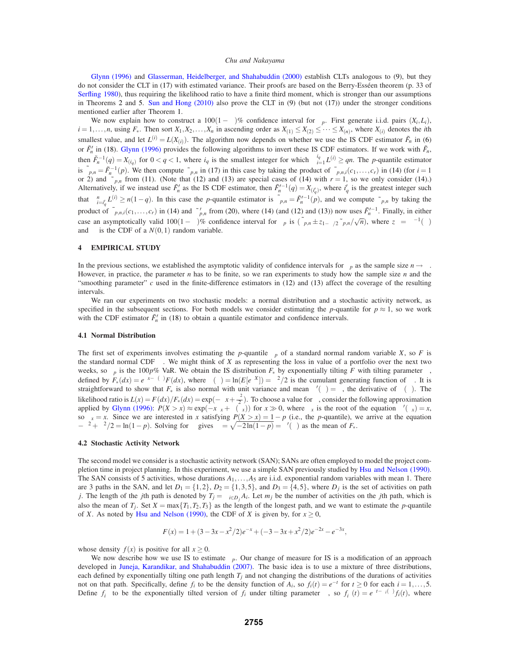Glynn (1996) and Glasserman, Heidelberger, and Shahabuddin (2000) establish CLTs analogous to (9), but they do not consider the CLT in (17) with estimated variance. Their proofs are based on the Berry-Esséen theorem (p. 33 of Serfling 1980), thus requiring the likelihood ratio to have a finite third moment, which is stronger than our assumptions in Theorems 2 and 5. Sun and Hong (2010) also prove the CLT in (9) (but not (17)) under the stronger conditions mentioned earlier after Theorem 1.

We now explain how to construct a  $100(1 - \alpha)\%$  confidence interval for  $\xi_p$ . First generate i.i.d. pairs  $(X_i, L_i)$ ,  $i = 1, \ldots, n$ , using  $F^*$ . Then sort  $X_1, X_2, \ldots, X_n$  in ascending order as  $X_{(1)} \le X_{(2)} \le \cdots \le X_{(n)}$ , where  $X_{(i)}$  denotes the *i*th smallest value, and let  $L^{(i)} = L(X_{(i)})$ . The algorithm now depends on whether we use the IS CDF estimator  $\tilde{F}_n$  in (6) or  $\tilde{F}'_n$  in (18). Glynn (1996) provides the following algorithms to invert these IS CDF estimators. If we work with  $\tilde{F}_n$ , then  $\tilde{F}_n^{-1}(q) = X_{(i_q)}$  for  $0 < q < 1$ , where  $i_q$  is the smallest integer for which  $\sum_{i=1}^{i_q} L^{(i)} \ge qn$ . The *p*-quantile estimator is  $\tilde{\xi}_{p,n} = \tilde{F}_n^{-1}(p)$ . We then compute  $\tilde{\kappa}_{p,n}$  in (17) in this case by taking the product of  $\bar{\phi}_{p,n,i}(c_1,\ldots,c_r)$  in (14) (for  $i=1$ or 2) and  $\tilde{\psi}_{p,n}$  from (11). (Note that (12) and (13) are special cases of (14) with  $r = 1$ , so we only consider (14).) Alternatively, if we instead use  $\tilde{F}'_n$  as the IS CDF estimator, then  $\tilde{F}'_n^{-1}(q) = X_{i'_{q}}$ , where  $i'_{q}$  is the greatest integer such that  $\sum_{i=i'_q}^{n} L^{(i)} \ge n(1-q)$ . In this case the *p*-quantile estimator is  $\tilde{\xi}_{p,n} = \tilde{F}_n^{(-1)}(p)$ , and we compute  $\tilde{\kappa}_{p,n}$  by taking the product of  $\bar{\phi}_{p,n,i}(c_1,\ldots,c_r)$  in (14) and  $\tilde{\psi}'_{p,n}$  from (20), where (14) (and (12) and (13)) now uses  $\tilde{F}'^{-1}_n$ . Finally, in either case an asymptotically valid 100(1 –  $\alpha$ )% confidence interval for  $\xi_p$  is  $(\tilde{\xi}_{p,n} \pm z_{1-\alpha/2} \tilde{\kappa}_{p,n}/\sqrt{n})$ , where  $z_\beta = \Phi^{-1}(\beta)$ and  $\Phi$  is the CDF of a  $N(0,1)$  random variable.

# **4 EMPIRICAL STUDY**

In the previous sections, we established the asymptotic validity of confidence intervals for  $\xi_p$  as the sample size  $n \to \infty$ . However, in practice, the parameter *n* has to be finite, so we ran experiments to study how the sample size *n* and the "smoothing parameter" *c* used in the finite-difference estimators in (12) and (13) affect the coverage of the resulting intervals.

We ran our experiments on two stochastic models: a normal distribution and a stochastic activity network, as specified in the subsequent sections. For both models we consider estimating the *p*-quantile for  $p \approx 1$ , so we work with the CDF estimator  $\tilde{F}'_n$  in (18) to obtain a quantile estimator and confidence intervals.

### **4.1 Normal Distribution**

The first set of experiments involves estimating the *p*-quantile  $\xi_p$  of a standard normal random variable *X*, so *F* is the standard normal CDF Φ. We might think of *X* as representing the loss in value of a portfolio over the next two weeks, so  $ξ<sub>p</sub>$  is the 100*p*% VaR. We obtain the IS distribution  $F_*$  by exponentially tilting *F* with tilting parameter  $θ$ , defined by  $F_*(dx) = e^{\theta x - \zeta(\theta)} F(dx)$ , where  $\zeta(\theta) = \ln(E[e^{\theta X}]) = \theta^2/2$  is the cumulant generating function of  $\Phi$ . It is straightforward to show that  $F_*$  is also normal with unit variance and mean  $\zeta'(\theta) = \theta$ , the derivative of  $\zeta(\theta)$ . The likelihood ratio is  $L(x) = F(dx)/F_*(dx) = \exp(-\theta x + \frac{\theta^2}{2})$ . To choose a value for  $\theta$ , consider the following approximation applied by Glynn (1996):  $P(X > x) \approx \exp(-x\theta_x + \zeta(\theta_x))$  for  $x \gg 0$ , where  $\theta_x$  is the root of the equation  $\zeta'(\theta_x) = x$ , so  $\theta_x = x$ . Since we are interested in *x* satisfying  $P(X > x) = 1 - p$  (i.e., the *p*-quantile), we arrive at the equation  $-\theta^2 + \theta^2/2 = \ln(1-p)$ . Solving for  $\theta$  gives  $\theta = \sqrt{-2\ln(1-p)} = \zeta'(\theta)$  as the mean of *F*<sub>\*</sub>.

## **4.2 Stochastic Activity Network**

The second model we consider is a stochastic activity network (SAN); SANs are often employed to model the project completion time in project planning. In this experiment, we use a simple SAN previously studied by Hsu and Nelson (1990). The SAN consists of 5 activities, whose durations  $A_1, \ldots, A_5$  are i.i.d. exponential random variables with mean 1. There are 3 paths in the SAN, and let  $D_1 = \{1,2\}$ ,  $D_2 = \{1,3,5\}$ , and  $D_3 = \{4,5\}$ , where  $D_j$  is the set of activities on path *j*. The length of the *j*th path is denoted by  $T_j = \sum_{i \in D_j} A_i$ . Let  $m_j$  be the number of activities on the *j*th path, which is also the mean of  $T_i$ . Set  $X = \max\{T_1, T_2, T_3\}$  as the length of the longest path, and we want to estimate the *p*-quantile of *X*. As noted by Hsu and Nelson (1990), the CDF of *X* is given by, for  $x \ge 0$ ,

$$
F(x) = 1 + (3 - 3x - x^2/2)e^{-x} + (-3 - 3x + x^2/2)e^{-2x} - e^{-3x},
$$

whose density  $f(x)$  is positive for all  $x \ge 0$ .

We now describe how we use IS to estimate ξ*p*. Our change of measure for IS is a modification of an approach developed in Juneja, Karandikar, and Shahabuddin (2007). The basic idea is to use a mixture of three distributions, each defined by exponentially tilting one path length  $T_i$  and not changing the distributions of the durations of activities not on that path. Specifically, define  $f_i$  to be the density function of  $A_i$ , so  $f_i(t) = e^{-t}$  for  $t \ge 0$  for each  $i = 1, \ldots, 5$ . Define  $f_i^{\theta}$  to be the exponentially tilted version of  $f_i$  under tilting parameter  $\theta$ , so  $f_i^{\theta}(t) = e^{\theta t - \chi_i(\theta)} f_i(t)$ , where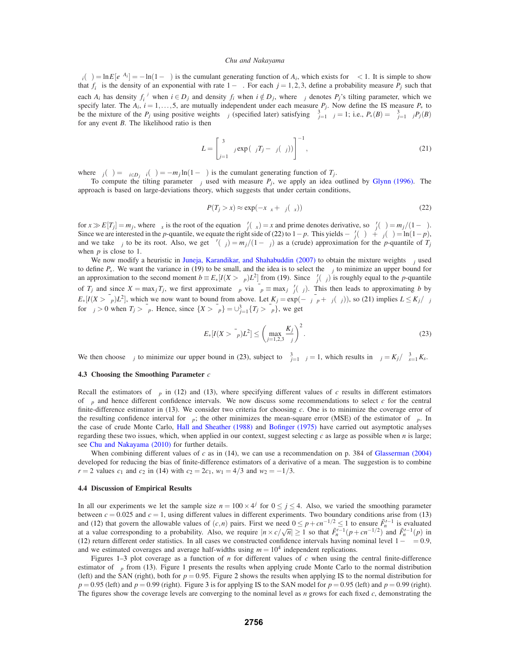$\chi_i(\theta) = \ln E[e^{\theta A_i}] = -\ln(1-\theta)$  is the cumulant generating function of  $A_i$ , which exists for  $\theta < 1$ . It is simple to show that  $f_i^{\theta}$  is the density of an exponential with rate 1− $\theta$ . For each  $j = 1, 2, 3$ , define a probability measure  $P_j$  such that each  $A_i$  has density  $f_i^{\theta_j}$  when  $i \in D_j$  and density  $f_i$  when  $i \notin D_j$ , where  $\theta_j$  denotes  $P_j$ 's tilting parameter, which we specify later. The  $A_i$ ,  $i = 1, \ldots, 5$ , are mutually independent under each measure  $P_j$ . Now define the IS measure  $P_*$  to be the mixture of the  $P_j$  using positive weights  $\alpha_j$  (specified later) satisfying  $\sum_{j=1}^3 \alpha_j = 1$ ; i.e.,  $P_*(B) = \sum_{j=1}^3 \alpha_j P_j(B)$ for any event *B*. The likelihood ratio is then

$$
L = \left[\sum_{j=1}^{3} \alpha_j \exp(\theta_j T_j - \zeta_j(\theta_j))\right]^{-1},\tag{21}
$$

where  $\zeta_j(\theta) = \sum_{i \in D_j} \chi_i(\theta) = -m_j \ln(1-\theta)$  is the cumulant generating function of *T<sub>j</sub>*.

To compute the tilting parameter  $\theta_j$  used with measure  $P_j$ , we apply an idea outlined by Glynn (1996). The approach is based on large-deviations theory, which suggests that under certain conditions,

$$
P(T_j > x) \approx \exp(-x\theta_x + \zeta_j(\theta_x))
$$
\n(22)

for  $x \gg E[T_j] = m_j$ , where  $\theta_x$  is the root of the equation  $\zeta'_j(\theta_x) = x$  and prime denotes derivative, so  $\zeta'_j(\theta) = m_j/(1-\theta)$ . Since we are interested in the *p*-quantile, we equate the right side of (22) to  $1 - p$ . This yields  $-\zeta_j'(\theta)\theta + \zeta_j(\theta) = \ln(1-p)$ , and we take  $\theta_j$  to be its root. Also, we get  $\zeta'(\theta_j) = m_j/(1-\theta_j)$  as a (crude) approximation for the *p*-quantile of  $T_j$ when *p* is close to 1.

We now modify a heuristic in Juneja, Karandikar, and Shahabuddin (2007) to obtain the mixture weights  $\alpha_j$  used to define  $P_{*}$ . We want the variance in (19) to be small, and the idea is to select the  $\alpha_i$  to minimize an upper bound for an approximation to the second moment  $b \equiv E_*[I(X > \xi_p)L^2]$  from (19). Since  $\zeta'_j(\theta_j)$  is roughly equal to the *p*-quantile of *T<sub>j</sub>* and since  $X = \max_j T_j$ , we first approximate  $\xi_p$  via  $\bar{\xi}_p \equiv \max_j \zeta'_j(\theta_j)$ . This then leads to approximating *b* by  $E_*[I(X > \bar{\xi}_p)L^2]$ , which we now want to bound from above. Let  $K_j = \exp(-\theta_j \bar{\xi}_p + \zeta_j(\theta_j))$ , so (21) implies  $L \leq K_j/\alpha_j$ for  $\theta_j > 0$  when  $T_j > \bar{\xi}_p$ . Hence, since  $\{X > \bar{\xi}_p\} = \bigcup_{j=1}^3 {T_j > \bar{\xi}_p}$ , we get

$$
E_*[I(X > \bar{\xi}_p)L^2] \le \left(\max_{j=1,2,3} \frac{K_j}{\alpha_j}\right)^2.
$$
 (23)

We then choose  $\alpha_j$  to minimize our upper bound in (23), subject to  $\sum_{j=1}^{3} \alpha_j = 1$ , which results in  $\alpha_j = K_j / \sum_{s=1}^{3} K_s$ .

### **4.3 Choosing the Smoothing Parameter** *c*

Recall the estimators of  $\phi_p$  in (12) and (13), where specifying different values of *c* results in different estimators of  $\phi_p$  and hence different confidence intervals. We now discuss some recommendations to select *c* for the central finite-difference estimator in (13). We consider two criteria for choosing *c*. One is to minimize the coverage error of the resulting confidence interval for  $\xi_p$ ; the other minimizes the mean-square error (MSE) of the estimator of  $\phi_p$ . In the case of crude Monte Carlo, Hall and Sheather (1988) and Bofinger (1975) have carried out asymptotic analyses regarding these two issues, which, when applied in our context, suggest selecting *c* as large as possible when *n* is large; see Chu and Nakayama (2010) for further details.

When combining different values of  $c$  as in (14), we can use a recommendation on p. 384 of Glasserman (2004) developed for reducing the bias of finite-difference estimators of a derivative of a mean. The suggestion is to combine *r* = 2 values  $c_1$  and  $c_2$  in (14) with  $c_2 = 2c_1$ ,  $w_1 = 4/3$  and  $w_2 = -1/3$ .

# **4.4 Discussion of Empirical Results**

In all our experiments we let the sample size  $n = 100 \times 4^{j}$  for  $0 \le j \le 4$ . Also, we varied the smoothing parameter between  $c = 0.025$  and  $c = 1$ , using different values in different experiments. Two boundary conditions arise from (13) and (12) that govern the allowable values of  $(c, n)$  pairs. First we need  $0 \leq p + cn^{-1/2} \leq 1$  to ensure  $\tilde{F}'^{-1}$  is evaluated at a value corresponding to a probability. Also, we require  $|n \times c/\sqrt{n}| \ge 1$  so that  $\tilde{F}_n^{r-1}(p + cn^{-1/2})$  and  $\tilde{F}_n^{r-1}(p)$  in (12) return different order statistics. In all cases we constructed confidence intervals having nominal level  $1 - \alpha = 0.9$ , and we estimated coverages and average half-widths using  $m = 10<sup>4</sup>$  independent replications.

Figures 1–3 plot coverage as a function of *n* for different values of *c* when using the central finite-difference estimator of  $\phi_p$  from (13). Figure 1 presents the results when applying crude Monte Carlo to the normal distribution (left) and the SAN (right), both for  $p = 0.95$ . Figure 2 shows the results when applying IS to the normal distribution for  $p = 0.95$  (left) and  $p = 0.99$  (right). Figure 3 is for applying IS to the SAN model for  $p = 0.95$  (left) and  $p = 0.99$  (right). The figures show the coverage levels are converging to the nominal level as *n* grows for each fixed *c*, demonstrating the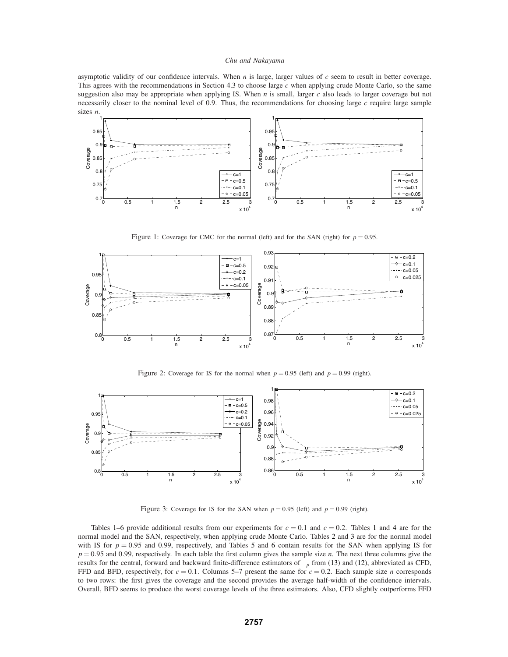asymptotic validity of our confidence intervals. When *n* is large, larger values of *c* seem to result in better coverage. This agrees with the recommendations in Section 4.3 to choose large *c* when applying crude Monte Carlo, so the same suggestion also may be appropriate when applying IS. When *n* is small, larger *c* also leads to larger coverage but not necessarily closer to the nominal level of 0.9. Thus, the recommendations for choosing large *c* require large sample sizes *n*.



Figure 1: Coverage for CMC for the normal (left) and for the SAN (right) for  $p = 0.95$ .



Figure 2: Coverage for IS for the normal when  $p = 0.95$  (left) and  $p = 0.99$  (right).



Figure 3: Coverage for IS for the SAN when  $p = 0.95$  (left) and  $p = 0.99$  (right).

Tables 1–6 provide additional results from our experiments for  $c = 0.1$  and  $c = 0.2$ . Tables 1 and 4 are for the normal model and the SAN, respectively, when applying crude Monte Carlo. Tables 2 and 3 are for the normal model with IS for  $p = 0.95$  and 0.99, respectively, and Tables 5 and 6 contain results for the SAN when applying IS for *p* = 0.95 and 0.99, respectively. In each table the first column gives the sample size *n*. The next three columns give the results for the central, forward and backward finite-difference estimators of  $\phi_p$  from (13) and (12), abbreviated as CFD, FFD and BFD, respectively, for  $c = 0.1$ . Columns 5–7 present the same for  $c = 0.2$ . Each sample size *n* corresponds to two rows: the first gives the coverage and the second provides the average half-width of the confidence intervals. Overall, BFD seems to produce the worst coverage levels of the three estimators. Also, CFD slightly outperforms FFD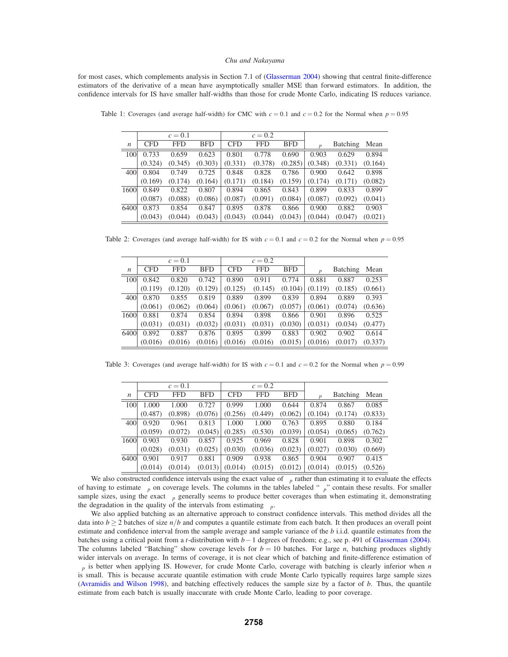for most cases, which complements analysis in Section 7.1 of (Glasserman 2004) showing that central finite-difference estimators of the derivative of a mean have asymptotically smaller MSE than forward estimators. In addition, the confidence intervals for IS have smaller half-widths than those for crude Monte Carlo, indicating IS reduces variance.

|                  |            | $c=0.1$    |            |            | $c = 0.2$ |            |             |          |         |
|------------------|------------|------------|------------|------------|-----------|------------|-------------|----------|---------|
| $\boldsymbol{n}$ | <b>CFD</b> | <b>FFD</b> | <b>BFD</b> | <b>CFD</b> | FFD       | <b>BFD</b> | $\varphi_D$ | Batching | Mean    |
| 100              | 0.733      | 0.659      | 0.623      | 0.801      | 0.778     | 0.690      | 0.903       | 0.629    | 0.894   |
|                  | (0.324)    | (0.345)    | (0.303)    | (0.331)    | (0.378)   | (0.285)    | (0.348)     | (0.331)  | (0.164) |
| 400              | 0.804      | 0.749      | 0.725      | 0.848      | 0.828     | 0.786      | 0.900       | 0.642    | 0.898   |
|                  | (0.169)    | (0.174)    | (0.164)    | (0.171)    | (0.184)   | (0.159)    | (0.174)     | (0.171)  | (0.082) |
| 1600             | 0.849      | 0.822      | 0.807      | 0.894      | 0.865     | 0.843      | 0.899       | 0.833    | 0.899   |
|                  | (0.087)    | (0.088)    | (0.086)    | (0.087)    | (0.091)   | (0.084)    | (0.087)     | (0.092)  | (0.041) |
| 6400             | 0.873      | 0.854      | 0.847      | 0.895      | 0.878     | 0.866      | 0.900       | 0.882    | 0.903   |
|                  | (0.043)    | (0.044)    | (0.043)    | (0.043)    | (0.044)   | (0.043)    | (0.044)     | (0.047)  | (0.021) |

Table 1: Coverages (and average half-width) for CMC with  $c = 0.1$  and  $c = 0.2$  for the Normal when  $p = 0.95$ 

Table 2: Coverages (and average half-width) for IS with  $c = 0.1$  and  $c = 0.2$  for the Normal when  $p = 0.95$ 

|                  |            | $c = 0.1$  |            |            | $c = 0.2$  |            |             |                 |         |
|------------------|------------|------------|------------|------------|------------|------------|-------------|-----------------|---------|
| $\boldsymbol{n}$ | <b>CFD</b> | <b>FFD</b> | <b>BFD</b> | <b>CFD</b> | <b>FFD</b> | <b>BFD</b> | $\varphi_D$ | <b>Batching</b> | Mean    |
| 100              | 0.842      | 0.820      | 0.742      | 0.890      | 0.911      | 0.774      | 0.881       | 0.887           | 0.253   |
|                  | (0.119)    | (0.120)    | (0.129)    | (0.125)    | (0.145)    | (0.104)    | (0.119)     | (0.185)         | (0.661) |
| 400              | 0.870      | 0.855      | 0.819      | 0.889      | 0.899      | 0.839      | 0.894       | 0.889           | 0.393   |
|                  | (0.061)    | (0.062)    | (0.064)    | (0.061)    | (0.067)    | (0.057)    | (0.061)     | (0.074)         | (0.636) |
| 1600             | 0.881      | 0.874      | 0.854      | 0.894      | 0.898      | 0.866      | 0.901       | 0.896           | 0.525   |
|                  | (0.031)    | (0.031)    | (0.032)    | (0.031)    | (0.031)    | (0.030)    | (0.031)     | (0.034)         | (0.477) |
| 6400             | 0.892      | 0.887      | 0.876      | 0.895      | 0.899      | 0.883      | 0.902       | 0.902           | 0.614   |
|                  | (0.016)    | (0.016)    | (0.016)    | (0.016)    | (0.016)    | (0.015)    | (0.016)     | (0.017)         | (0.337) |

Table 3: Coverages (and average half-width) for IS with  $c = 0.1$  and  $c = 0.2$  for the Normal when  $p = 0.99$ 

|                  |            | $c=0.1$ |            |            | $c = 0.2$  |            |               |                 |         |
|------------------|------------|---------|------------|------------|------------|------------|---------------|-----------------|---------|
| $\boldsymbol{n}$ | <b>CFD</b> | FFD     | <b>BFD</b> | <b>CFD</b> | <b>FFD</b> | <b>BFD</b> | $\varphi_{D}$ | <b>Batching</b> | Mean    |
| 100              | 1.000      | 1.000   | 0.727      | 0.999      | 1.000      | 0.644      | 0.874         | 0.867           | 0.085   |
|                  | (0.487)    | (0.898) | (0.076)    | (0.256)    | (0.449)    | (0.062)    | (0.104)       | (0.174)         | (0.833) |
| 400              | 0.920      | 0.961   | 0.813      | 1.000      | 1.000      | 0.763      | 0.895         | 0.880           | 0.184   |
|                  | (0.059)    | (0.072) | (0.045)    | (0.285)    | (0.530)    | (0.039)    | (0.054)       | (0.065)         | (0.762) |
| 1600             | 0.903      | 0.930   | 0.857      | 0.925      | 0.969      | 0.828      | 0.901         | 0.898           | 0.302   |
|                  | (0.028)    | (0.031) | (0.025)    | (0.030)    | (0.036)    | (0.023)    | (0.027)       | (0.030)         | (0.669) |
| 6400             | 0.901      | 0.917   | 0.881      | 0.909      | 0.938      | 0.865      | 0.904         | 0.907           | 0.415   |
|                  | (0.014)    | (0.014) | (0.013)    | (0.014)    | (0.015)    | (0.012)    | (0.014)       | (0.015)         | (0.526) |

We also constructed confidence intervals using the exact value of  $\phi_p$  rather than estimating it to evaluate the effects of having to estimate  $\phi_p$  on coverage levels. The columns in the tables labeled " $\phi_p$ " contain these results. For smaller sample sizes, using the exact  $\phi_p$  generally seems to produce better coverages than when estimating it, demonstrating the degradation in the quality of the intervals from estimating  $\phi_p$ .

We also applied batching as an alternative approach to construct confidence intervals. This method divides all the data into  $b \ge 2$  batches of size  $n/b$  and computes a quantile estimate from each batch. It then produces an overall point estimate and confidence interval from the sample average and sample variance of the *b* i.i.d. quantile estimates from the batches using a critical point from a *t*-distribution with *b*−1 degrees of freedom; e.g., see p. 491 of Glasserman (2004). The columns labeled "Batching" show coverage levels for  $b = 10$  batches. For large *n*, batching produces slightly wider intervals on average. In terms of coverage, it is not clear which of batching and finite-difference estimation of φ*<sup>p</sup>* is better when applying IS. However, for crude Monte Carlo, coverage with batching is clearly inferior when *n* is small. This is because accurate quantile estimation with crude Monte Carlo typically requires large sample sizes (Avramidis and Wilson 1998), and batching effectively reduces the sample size by a factor of *b*. Thus, the quantile estimate from each batch is usually inaccurate with crude Monte Carlo, leading to poor coverage.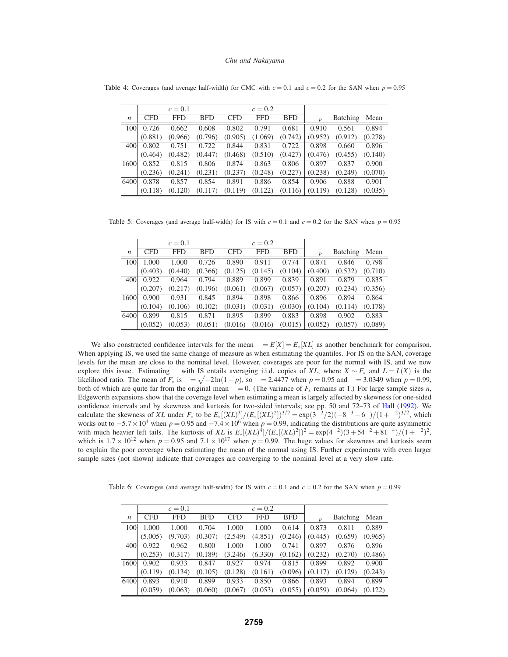|                  |            | $c=0.1$ |            |            | $c = 0.2$  |            |             |          |         |
|------------------|------------|---------|------------|------------|------------|------------|-------------|----------|---------|
| $\boldsymbol{n}$ | <b>CFD</b> | FFD     | <b>BFD</b> | <b>CFD</b> | <b>FFD</b> | <b>BFD</b> | $\varphi_p$ | Batching | Mean    |
| 100              | 0.726      | 0.662   | 0.608      | 0.802      | 0.791      | 0.681      | 0.910       | 0.561    | 0.894   |
|                  | (0.881)    | (0.966) | (0.796)    | (0.905)    | (1.069)    | (0.742)    | (0.952)     | (0.912)  | (0.278) |
| 400              | 0.802      | 0.751   | 0.722      | 0.844      | 0.831      | 0.722      | 0.898       | 0.660    | 0.896   |
|                  | (0.464)    | (0.482) | (0.447)    | (0.468)    | (0.510)    | (0.427)    | (0.476)     | (0.455)  | (0.140) |
| 1600             | 0.852      | 0.815   | 0.806      | 0.874      | 0.863      | 0.806      | 0.897       | 0.837    | 0.900   |
|                  | (0.236)    | (0.241) | (0.231)    | (0.237)    | (0.248)    | (0.227)    | (0.238)     | (0.249)  | (0.070) |
| 6400             | 0.878      | 0.857   | 0.854      | 0.891      | 0.886      | 0.854      | 0.906       | 0.888    | 0.901   |
|                  | (0.118)    | (0.120) | (0.117)    | (0.119)    | (0.122)    | (0.116)    | (0.119)     | (0.128)  | (0.035) |

Table 4: Coverages (and average half-width) for CMC with  $c = 0.1$  and  $c = 0.2$  for the SAN when  $p = 0.95$ 

Table 5: Coverages (and average half-width) for IS with  $c = 0.1$  and  $c = 0.2$  for the SAN when  $p = 0.95$ 

|                  |            | $c = 0.1$ |            |            | $c = 0.2$ |            |             |          |         |
|------------------|------------|-----------|------------|------------|-----------|------------|-------------|----------|---------|
| $\boldsymbol{n}$ | <b>CFD</b> | FFD       | <b>BFD</b> | <b>CFD</b> | FFD       | <b>BFD</b> | $\varphi_D$ | Batching | Mean    |
| 100              | 1.000      | 1.000     | 0.726      | 0.890      | 0.911     | 0.774      | 0.871       | 0.846    | 0.798   |
|                  | (0.403)    | (0.440)   | (0.366)    | (0.125)    | (0.145)   | (0.104)    | (0.400)     | (0.532)  | (0.710) |
| 400              | 0.922      | 0.964     | 0.794      | 0.889      | 0.899     | 0.839      | 0.891       | 0.879    | 0.835   |
|                  | (0.207)    | (0.217)   | (0.196)    | (0.061)    | (0.067)   | (0.057)    | (0.207)     | (0.234)  | (0.356) |
| 1600             | 0.900      | 0.931     | 0.845      | 0.894      | 0.898     | 0.866      | 0.896       | 0.894    | 0.864   |
|                  | (0.104)    | (0.106)   | (0.102)    | (0.031)    | (0.031)   | (0.030)    | (0.104)     | (0.114)  | (0.178) |
| 6400             | 0.899      | 0.815     | 0.871      | 0.895      | 0.899     | 0.883      | 0.898       | 0.902    | 0.883   |
|                  | (0.052)    | (0.053)   | (0.051)    | (0.016)    | (0.016)   | (0.015)    | (0.052)     | (0.057)  | (0.089) |

We also constructed confidence intervals for the mean  $\mu = E[X] = E_*[XL]$  as another benchmark for comparison. When applying IS, we used the same change of measure as when estimating the quantiles. For IS on the SAN, coverage levels for the mean are close to the nominal level. However, coverages are poor for the normal with IS, and we now explore this issue. Estimating  $\mu$  with IS entails averaging i.i.d. copies of *XL*, where  $X \sim F_*$  and  $L = L(X)$  is the likelihood ratio. The mean of  $F_*$  is  $\theta = \sqrt{-2\ln(1-p)}$ , so  $\theta = 2.4477$  when  $p = 0.95$  and  $\theta = 3.0349$  when  $p = 0.99$ , both of which are quite far from the original mean  $\mu = 0$ . (The variance of  $F_*$  remains at 1.) For large sample sizes *n*, Edgeworth expansions show that the coverage level when estimating a mean is largely affected by skewness for one-sided confidence intervals and by skewness and kurtosis for two-sided intervals; see pp. 50 and 72-73 of Hall (1992). We calculate the skewness of *XL* under  $F_*$  to be  $E_*[(XL)^2]/(E_*[(XL)^2])^{3/2} = \exp(3\theta^2/2)(-8\theta^3 - 6\theta)/(1+\theta^2)^{3/2}$ , which works out to  $-5.7 \times 10^4$  when  $p = 0.95$  and  $-7.4 \times 10^6$  when  $p = 0.99$ , indicating the distributions are quite asymmetric with much heavier left tails. The kurtosis of *XL* is  $E_*[(XL)^{4}]/(E_*[(XL)^{2}])^2 = \exp(4\theta^2)(3+54\theta^2+81\theta^4)/(1+\theta^2)^2$ , which is  $1.7 \times 10^{12}$  when  $p = 0.95$  and  $7.1 \times 10^{17}$  when  $p = 0.99$ . The huge values for skewness and kurtosis seem to explain the poor coverage when estimating the mean of the normal using IS. Further experiments with even larger sample sizes (not shown) indicate that coverages are converging to the nominal level at a very slow rate.

Table 6: Coverages (and average half-width) for IS with  $c = 0.1$  and  $c = 0.2$  for the SAN when  $p = 0.99$ 

|                  |            | $c = 0.1$  |            |            | $c = 0.2$  |            |             |          |         |
|------------------|------------|------------|------------|------------|------------|------------|-------------|----------|---------|
| $\boldsymbol{n}$ | <b>CFD</b> | <b>FFD</b> | <b>BFD</b> | <b>CFD</b> | <b>FFD</b> | <b>BFD</b> | $\varphi_D$ | Batching | Mean    |
| 100              | 1.000      | 1.000      | 0.704      | 1.000      | 1.000      | 0.614      | 0.873       | 0.811    | 0.889   |
|                  | (5.005)    | (9.703)    | (0.307)    | (2.549)    | (4.851)    | (0.246)    | (0.445)     | (0.659)  | (0.965) |
| 400              | 0.922      | 0.962      | 0.800      | 1.000      | 1.000      | 0.741      | 0.897       | 0.876    | 0.896   |
|                  | (0.253)    | (0.317)    | (0.189)    | (3.246)    | (6.330)    | (0.162)    | (0.232)     | (0.270)  | (0.486) |
| 1600             | 0.902      | 0.933      | 0.847      | 0.927      | 0.974      | 0.815      | 0.899       | 0.892    | 0.900   |
|                  | (0.119)    | (0.134)    | (0.105)    | (0.128)    | (0.161)    | (0.096)    | (0.117)     | (0.129)  | (0.243) |
| 6400             | 0.893      | 0.910      | 0.899      | 0.933      | 0.850      | 0.866      | 0.893       | 0.894    | 0.899   |
|                  | (0.059)    | (0.063)    | (0.060)    | (0.067)    | (0.053)    | (0.055)    | (0.059)     | (0.064)  | (0.122) |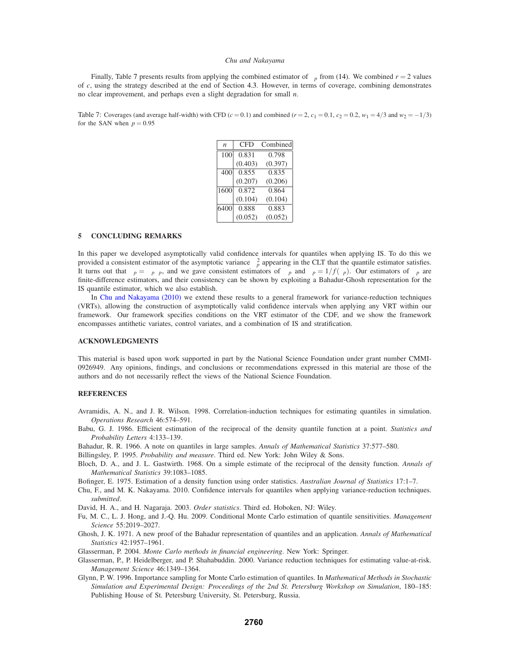Finally, Table 7 presents results from applying the combined estimator of  $\phi_p$  from (14). We combined  $r = 2$  values of *c*, using the strategy described at the end of Section 4.3. However, in terms of coverage, combining demonstrates no clear improvement, and perhaps even a slight degradation for small *n*.

Table 7: Coverages (and average half-width) with CFD  $(c = 0.1)$  and combined  $(r = 2, c_1 = 0.1, c_2 = 0.2, w_1 = 4/3$  and  $w_2 = -1/3$ ) for the SAN when  $p = 0.95$ 

| $\boldsymbol{n}$ | CFD     | Combined |
|------------------|---------|----------|
| 100              | 0.831   | 0.798    |
|                  | (0.403) | (0.397)  |
| 400              | 0.855   | 0.835    |
|                  | (0.207) | (0.206)  |
| 1600             | 0.872   | 0.864    |
|                  | (0.104) | (0.104)  |
| 6400             | 0.888   | 0.883    |
|                  | (0.052) | (0.052)  |

## **5 CONCLUDING REMARKS**

In this paper we developed asymptotically valid confidence intervals for quantiles when applying IS. To do this we provided a consistent estimator of the asymptotic variance  $\kappa_p^2$  appearing in the CLT that the quantile estimator satisfies. It turns out that  $\kappa_p = \psi_p \phi_p$ , and we gave consistent estimators of  $\psi_p$  and  $\phi_p = 1/f(\xi_p)$ . Our estimators of  $\phi_p$  are finite-difference estimators, and their consistency can be shown by exploiting a Bahadur-Ghosh representation for the IS quantile estimator, which we also establish.

In Chu and Nakayama (2010) we extend these results to a general framework for variance-reduction techniques (VRTs), allowing the construction of asymptotically valid confidence intervals when applying any VRT within our framework. Our framework specifies conditions on the VRT estimator of the CDF, and we show the framework encompasses antithetic variates, control variates, and a combination of IS and stratification.

## **ACKNOWLEDGMENTS**

This material is based upon work supported in part by the National Science Foundation under grant number CMMI-0926949. Any opinions, findings, and conclusions or recommendations expressed in this material are those of the authors and do not necessarily reflect the views of the National Science Foundation.

### **REFERENCES**

- Avramidis, A. N., and J. R. Wilson. 1998. Correlation-induction techniques for estimating quantiles in simulation. *Operations Research* 46:574–591.
- Babu, G. J. 1986. Efficient estimation of the reciprocal of the density quantile function at a point. *Statistics and Probability Letters* 4:133–139.
- Bahadur, R. R. 1966. A note on quantiles in large samples. *Annals of Mathematical Statistics* 37:577–580.
- Billingsley, P. 1995. *Probability and measure*. Third ed. New York: John Wiley & Sons.
- Bloch, D. A., and J. L. Gastwirth. 1968. On a simple estimate of the reciprocal of the density function. *Annals of Mathematical Statistics* 39:1083–1085.
- Bofinger, E. 1975. Estimation of a density function using order statistics. *Australian Journal of Statistics* 17:1–7.
- Chu, F., and M. K. Nakayama. 2010. Confidence intervals for quantiles when applying variance-reduction techniques. *submitted*.
- David, H. A., and H. Nagaraja. 2003. *Order statistics*. Third ed. Hoboken, NJ: Wiley.
- Fu, M. C., L. J. Hong, and J.-Q. Hu. 2009. Conditional Monte Carlo estimation of quantile sensitivities. *Management Science* 55:2019–2027.
- Ghosh, J. K. 1971. A new proof of the Bahadur representation of quantiles and an application. *Annals of Mathematical Statistics* 42:1957–1961.
- Glasserman, P. 2004. *Monte Carlo methods in financial engineering*. New York: Springer.
- Glasserman, P., P. Heidelberger, and P. Shahabuddin. 2000. Variance reduction techniques for estimating value-at-risk. *Management Science* 46:1349–1364.
- Glynn, P. W. 1996. Importance sampling for Monte Carlo estimation of quantiles. In *Mathematical Methods in Stochastic Simulation and Experimental Design: Proceedings of the 2nd St. Petersburg Workshop on Simulation*, 180–185: Publishing House of St. Petersburg University, St. Petersburg, Russia.